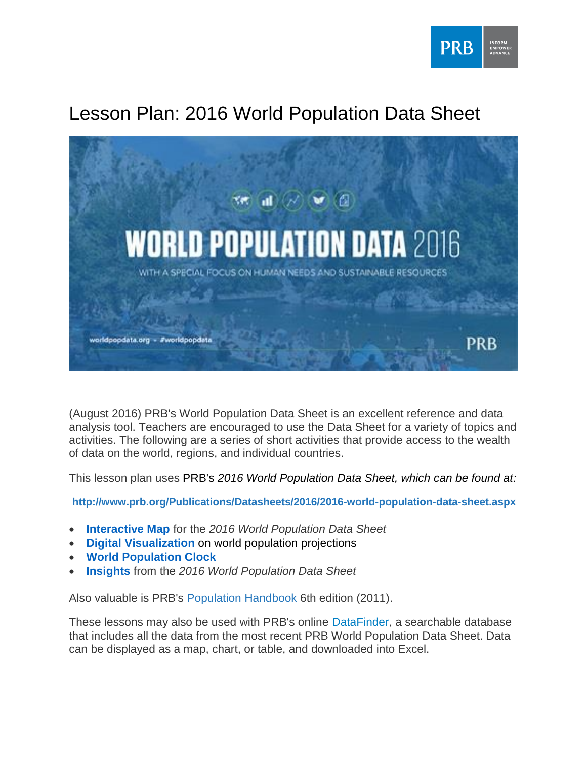

# Lesson Plan: 2016 World Population Data Sheet



(August 2016) PRB's World Population Data Sheet is an excellent reference and data analysis tool. Teachers are encouraged to use the Data Sheet for a variety of topics and activities. The following are a series of short activities that provide access to the wealth of data on the world, regions, and individual countries.

This lesson plan uses PRB's *2016 World Population Data Sheet, which can be found at:*

**<http://www.prb.org/Publications/Datasheets/2016/2016-world-population-data-sheet.aspx>**

- **[Interactive Map](http://worldpopdata.org/index.php/map)** for the *2016 World Population Data Sheet*
- **[Digital Visualization](worldpopdata.org%20/index.php/visual)** on world population projections
- **[World Population Clock](http://www.prb.org/)**
- **[Insights](worldpopdata.org/index.php/insights)** from the *2016 World Population Data Sheet*

Also valuable is PRB's [Population](http://www.prb.org/Publications/Reports/2011/prb-population-handbook-2011.aspx) Handbook 6th edition (2011).

These lessons may also be used with PRB's online [DataFinder,](http://www.prb.org/DataFinder.aspx) a searchable database that includes all the data from the most recent PRB World Population Data Sheet. Data can be displayed as a map, chart, or table, and downloaded into Excel.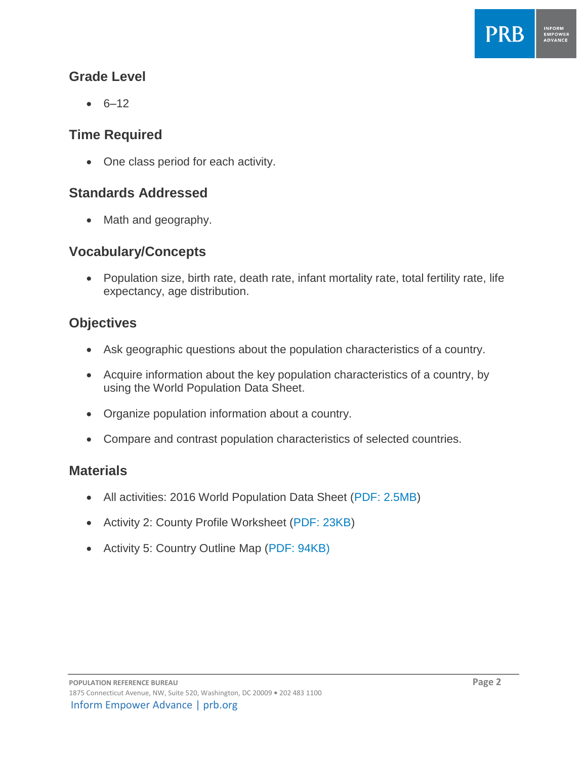

#### **Grade Level**

 $6 - 12$ 

#### **Time Required**

• One class period for each activity.

#### **Standards Addressed**

• Math and geography.

#### **Vocabulary/Concepts**

• Population size, birth rate, death rate, infant mortality rate, total fertility rate, life expectancy, age distribution.

### **Objectives**

- Ask geographic questions about the population characteristics of a country.
- Acquire information about the key population characteristics of a country, by using the World Population Data Sheet.
- Organize population information about a country.
- Compare and contrast population characteristics of selected countries.

#### **Materials**

- All activities: 2016 World Population Data Sheet [\(PDF: 2.5MB\)](http://www.prb.org/pdf16/prb-wpds2016-web-2016.pdf)
- Activity 2: County Profile Worksheet [\(PDF: 23KB\)](http://www.prb.org/pdf/wpdswork.pdf)
- Activity 5: Country Outline Map [\(PDF: 94KB\)](http://www.prb.org/pdf/blankWORLDmap.pdf)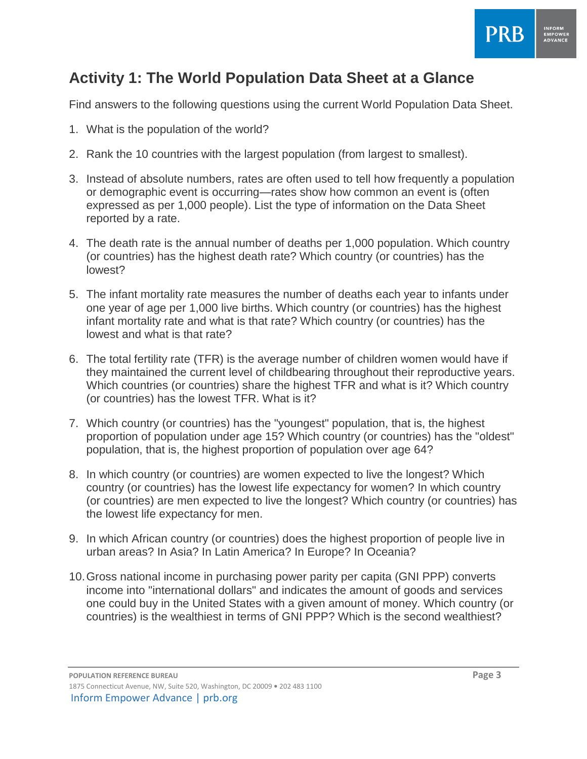

Find answers to the following questions using the current World Population Data Sheet.

- 1. What is the population of the world?
- 2. Rank the 10 countries with the largest population (from largest to smallest).
- 3. Instead of absolute numbers, rates are often used to tell how frequently a population or demographic event is occurring—rates show how common an event is (often expressed as per 1,000 people). List the type of information on the Data Sheet reported by a rate.
- 4. The death rate is the annual number of deaths per 1,000 population. Which country (or countries) has the highest death rate? Which country (or countries) has the lowest?
- 5. The infant mortality rate measures the number of deaths each year to infants under one year of age per 1,000 live births. Which country (or countries) has the highest infant mortality rate and what is that rate? Which country (or countries) has the lowest and what is that rate?
- 6. The total fertility rate (TFR) is the average number of children women would have if they maintained the current level of childbearing throughout their reproductive years. Which countries (or countries) share the highest TFR and what is it? Which country (or countries) has the lowest TFR. What is it?
- 7. Which country (or countries) has the "youngest" population, that is, the highest proportion of population under age 15? Which country (or countries) has the "oldest" population, that is, the highest proportion of population over age 64?
- 8. In which country (or countries) are women expected to live the longest? Which country (or countries) has the lowest life expectancy for women? In which country (or countries) are men expected to live the longest? Which country (or countries) has the lowest life expectancy for men.
- 9. In which African country (or countries) does the highest proportion of people live in urban areas? In Asia? In Latin America? In Europe? In Oceania?
- 10.Gross national income in purchasing power parity per capita (GNI PPP) converts income into "international dollars" and indicates the amount of goods and services one could buy in the United States with a given amount of money. Which country (or countries) is the wealthiest in terms of GNI PPP? Which is the second wealthiest?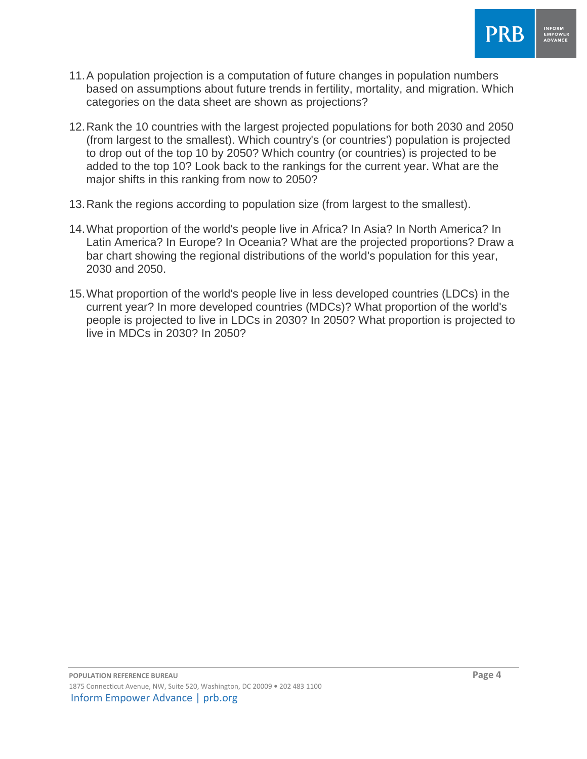

- 11.A population projection is a computation of future changes in population numbers based on assumptions about future trends in fertility, mortality, and migration. Which categories on the data sheet are shown as projections?
- 12.Rank the 10 countries with the largest projected populations for both 2030 and 2050 (from largest to the smallest). Which country's (or countries') population is projected to drop out of the top 10 by 2050? Which country (or countries) is projected to be added to the top 10? Look back to the rankings for the current year. What are the major shifts in this ranking from now to 2050?
- 13.Rank the regions according to population size (from largest to the smallest).
- 14.What proportion of the world's people live in Africa? In Asia? In North America? In Latin America? In Europe? In Oceania? What are the projected proportions? Draw a bar chart showing the regional distributions of the world's population for this year, 2030 and 2050.
- 15.What proportion of the world's people live in less developed countries (LDCs) in the current year? In more developed countries (MDCs)? What proportion of the world's people is projected to live in LDCs in 2030? In 2050? What proportion is projected to live in MDCs in 2030? In 2050?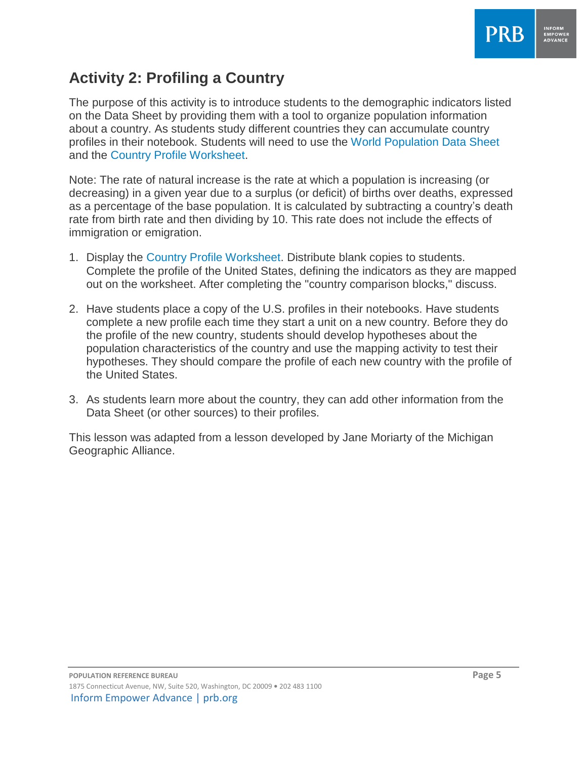

## **Activity 2: Profiling a Country**

The purpose of this activity is to introduce students to the demographic indicators listed on the Data Sheet by providing them with a tool to organize population information about a country. As students study different countries they can accumulate country profiles in their notebook. Students will need to use the [World Population Data Sheet](http://www.prb.org/pdf16/prb-wpds2016-web-2016.pdf)  and the [Country Profile Worksheet.](http://www.prb.org/pdf/wpdswork.pdf)

Note: The rate of natural increase is the rate at which a population is increasing (or decreasing) in a given year due to a surplus (or deficit) of births over deaths, expressed as a percentage of the base population. It is calculated by subtracting a country's death rate from birth rate and then dividing by 10. This rate does not include the effects of immigration or emigration.

- 1. Display the [Country Profile Worksheet.](http://www.prb.org/pdf/wpdswork.pdf) Distribute blank copies to students. Complete the profile of the United States, defining the indicators as they are mapped out on the worksheet. After completing the "country comparison blocks," discuss.
- 2. Have students place a copy of the U.S. profiles in their notebooks. Have students complete a new profile each time they start a unit on a new country. Before they do the profile of the new country, students should develop hypotheses about the population characteristics of the country and use the mapping activity to test their hypotheses. They should compare the profile of each new country with the profile of the United States.
- 3. As students learn more about the country, they can add other information from the Data Sheet (or other sources) to their profiles.

This lesson was adapted from a lesson developed by Jane Moriarty of the Michigan Geographic Alliance.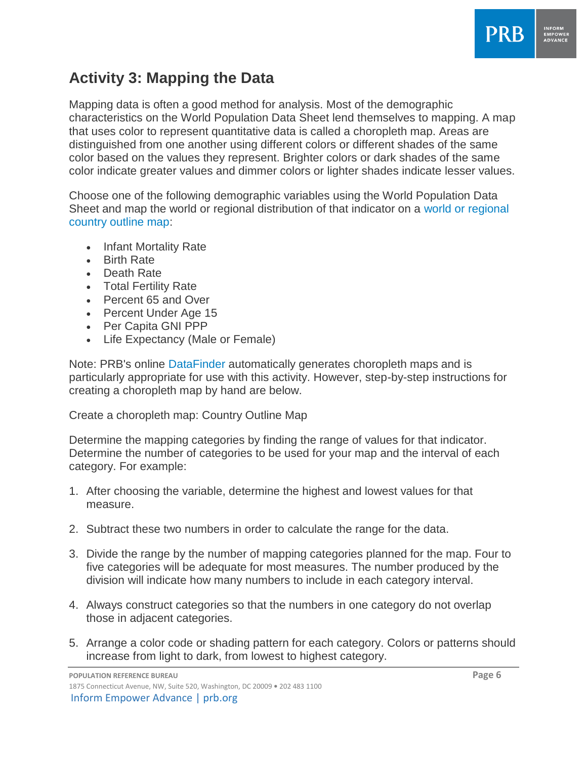

## **Activity 3: Mapping the Data**

Mapping data is often a good method for analysis. Most of the demographic characteristics on the World Population Data Sheet lend themselves to mapping. A map that uses color to represent quantitative data is called a choropleth map. Areas are distinguished from one another using different colors or different shades of the same color based on the values they represent. Brighter colors or dark shades of the same color indicate greater values and dimmer colors or lighter shades indicate lesser values.

Choose one of the following demographic variables using the World Population Data Sheet and map the world or regional distribution of that indicator on a [world or regional](http://www.prb.org/pdf/blankWORLDmap.pdf)  [country outline map:](http://www.prb.org/pdf/blankWORLDmap.pdf)

- Infant Mortality Rate
- Birth Rate
- Death Rate
- Total Fertility Rate
- Percent 65 and Over
- Percent Under Age 15
- Per Capita GNI PPP
- Life Expectancy (Male or Female)

Note: PRB's online [DataFinder](http://www.prb.org/DataFinder.aspx) automatically generates choropleth maps and is particularly appropriate for use with this activity. However, step-by-step instructions for creating a choropleth map by hand are below.

Create a choropleth map: Country Outline Map

Determine the mapping categories by finding the range of values for that indicator. Determine the number of categories to be used for your map and the interval of each category. For example:

- 1. After choosing the variable, determine the highest and lowest values for that measure.
- 2. Subtract these two numbers in order to calculate the range for the data.
- 3. Divide the range by the number of mapping categories planned for the map. Four to five categories will be adequate for most measures. The number produced by the division will indicate how many numbers to include in each category interval.
- 4. Always construct categories so that the numbers in one category do not overlap those in adjacent categories.
- 5. Arrange a color code or shading pattern for each category. Colors or patterns should increase from light to dark, from lowest to highest category.